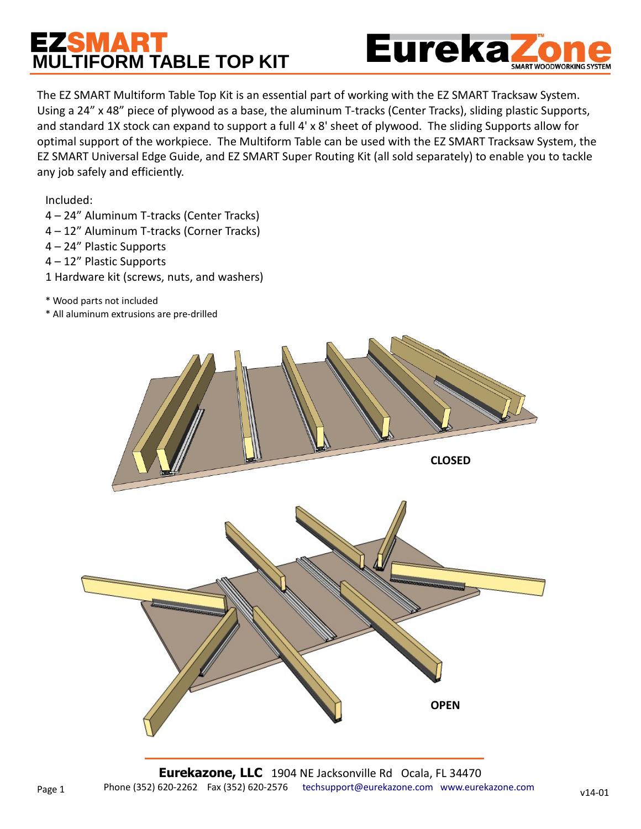## **MULTIFORM TABLE TOP KIT**



The EZ SMART Multiform Table Top Kit is an essential part of working with the EZ SMART Tracksaw System. Using a 24" x 48" piece of plywood as a base, the aluminum T-tracks (Center Tracks), sliding plastic Supports, and standard 1X stock can expand to support a full 4' x 8' sheet of plywood. The sliding Supports allow for optimal support of the workpiece. The Multiform Table can be used with the EZ SMART Tracksaw System, the EZ SMART Universal Edge Guide, and EZ SMART Super Routing Kit (all sold separately) to enable you to tackle any job safely and efficiently.

Included:

Page 1

- 4 24" Aluminum T-tracks (Center Tracks)
- 4 12" Aluminum T-tracks (Corner Tracks)
- 4 24" Plastic Supports
- 4 12" Plastic Supports
- 1 Hardware kit (screws, nuts, and washers)
- \* Wood parts not included
- \* All aluminum extrusions are pre-drilled

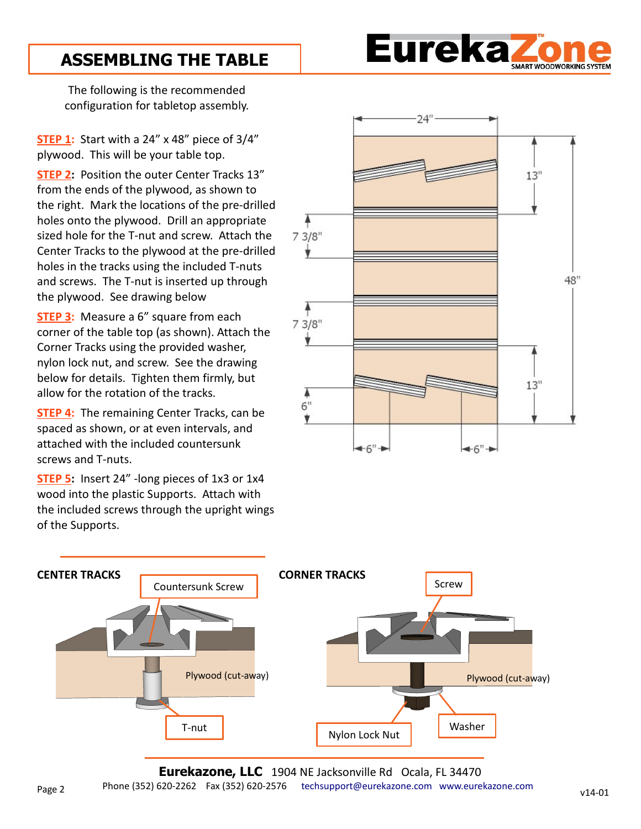

## **ASSEMBLING THE TABLE**

The following is the recommended configuration for tabletop assembly.

**STEP 1:** Start with a 24" x 48" piece of 3/4" plywood. This will be your table top.

**STEP 2:** Position the outer Center Tracks 13" from the ends of the plywood, as shown to the right. Mark the locations of the pre-drilled holes onto the plywood. Drill an appropriate sized hole for the T-nut and screw. Attach the Center Tracks to the plywood at the pre-drilled holes in the tracks using the included T-nuts and screws. The T-nut is inserted up through the plywood. See drawing below

**STEP 3:** Measure a 6" square from each corner of the table top (as shown). Attach the Corner Tracks using the provided washer, nylon lock nut, and screw. See the drawing below for details. Tighten them firmly, but allow for the rotation of the tracks.

**STEP 4:** The remaining Center Tracks, can be spaced as shown, or at even intervals, and attached with the included countersunk screws and T-nuts.

**STEP 5:** Insert 24" -long pieces of 1x3 or 1x4 wood into the plastic Supports. Attach with the included screws through the upright wings of the Supports.





**Eurekazone, LLC** 1904 NE Jacksonville Rd Ocala, FL 34470 Phone (352) 620-2262 Fax (352) 620-2576 [techsupport@eurekazone.com](mailto:Technical%20Support?subject=Technical%20Support%20Question) [www.eurekazone.com](http://www.eurekazone.com/)  Page 2 v14-01